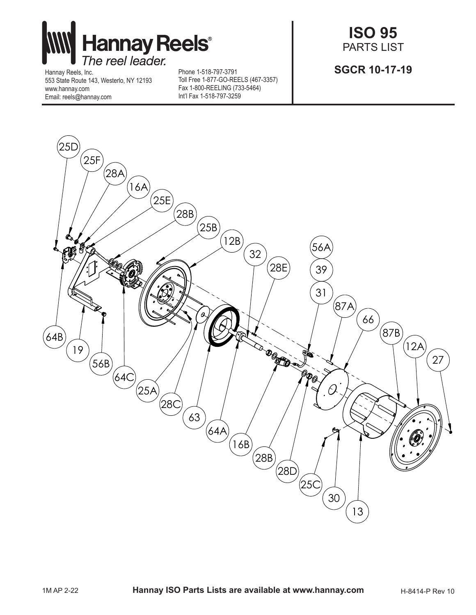

Hannay Reels, Inc. 553 State Route 143, Westerlo, NY 12193 www.hannay.com Email: reels@hannay.com

Phone 1-518-797-3791 Toll Free 1-877-GO-REELS (467-3357) Fax 1-800-REELING (733-5464) Int'l Fax 1-518-797-3259

**ISO 95** PARTS LIST

**SGCR 10-17-19**